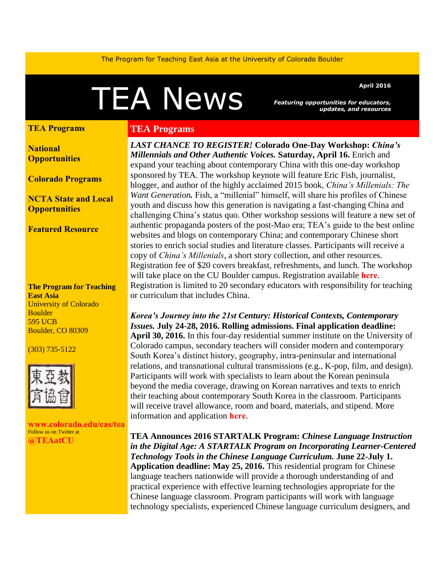The Program for Teaching East Asia at the University of Colorado Boulder

# A News *Featuring opportunities for educators,*

*Featuring opportunities for educators, updates, and resources* 

#### **TEA Programs**

**[National](#page-1-0) [Opportunities](#page-1-0)**

**[Colorado Programs](#page-1-1)**

**[NCTA State and Local](#page-2-0)  [Opportunities](#page-2-0)** 

**[Featured Resource](#page-2-1)** 

#### **The Program for Teaching East Asia** University of Colorado **Boulder** 595 UCB Boulder, CO 80309

(303) 735-5122



**[www.colorado.edu/cas/tea](http://www.colorado.edu/cas/tea)** Follow us on Twitter at **[@TEAatCU](https://twitter.com/TEAatCU)**

## **TEA Programs**

*LAST CHANCE TO REGISTER!* **Colorado One-Day Workshop:** *China's Millennials and Other Authentic Voices.* **Saturday, April 16.** Enrich and expand your teaching about contemporary China with this one-day workshop sponsored by TEA. The workshop keynote will feature Eric Fish, journalist, blogger, and author of the highly acclaimed 2015 book, *China's Millenials: The Want Generation.* Fish, a "millenial" himself, will share his profiles of Chinese youth and discuss how this generation is navigating a fast-changing China and challenging China's status quo. Other workshop sessions will feature a new set of authentic propaganda posters of the post-Mao era; TEA's guide to the best online websites and blogs on contemporary China; and contemporary Chinese short stories to enrich social studies and literature classes. Participants will receive a copy of *China's Millenials*, a short story collection, and other resources. Registration fee of \$20 covers breakfast, refreshments, and lunch. The workshop will take place on the CU Boulder campus. Registration available **[here](http://www.colorado.edu/cas/tea/programs/downloads/ChinaMillennialsReg.pdf)**. Registration is limited to 20 secondary educators with responsibility for teaching or curriculum that includes China.

*Korea's Journey into the 21st Century: Historical Contexts, Contemporary Issues.* **July 24-28, 2016. Rolling admissions. Final application deadline: April 30, 2016.** In this four-day residential summer institute on the University of Colorado campus, secondary teachers will consider modern and contemporary South Korea's distinct history, geography, intra-peninsular and international relations, and transnational cultural transmissions (e.g., K-pop, film, and design). Participants will work with specialists to learn about the Korean peninsula beyond the media coverage, drawing on Korean narratives and texts to enrich their teaching about contemporary South Korea in the classroom. Participants will receive travel allowance, room and board, materials, and stipend. More information and application **[here](http://www.colorado.edu/cas/tea/ncta/downloads/KSI2016App.pdf)**.

**TEA Announces 2016 STARTALK Program:** *Chinese Language Instruction in the Digital Age: A STARTALK Program on Incorporating Learner-Centered Technology Tools in the Chinese Language Curriculum.* **June 22-July 1. Application deadline: May 25, 2016.** This residential program for Chinese language teachers nationwide will provide a thorough understanding of and practical experience with effective learning technologies appropriate for the Chinese language classroom. Program participants will work with language technology specialists, experienced Chinese language curriculum designers, and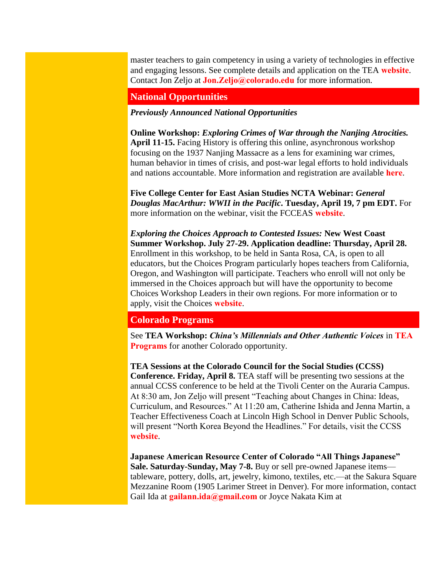master teachers to gain competency in using a variety of technologies in effective and engaging lessons. See complete details and application on the TEA **[website](http://www.colorado.edu/cas/tea/programs/startalk-program.html)**. Contact Jon Zeljo at **[Jon.Zeljo@colorado.edu](mailto:Jon.Zeljo@colorado.edu)** for more information.

#### <span id="page-1-0"></span>**National Opportunities**

*Previously Announced National Opportunities* 

**Online Workshop:** *Exploring Crimes of War through the Nanjing Atrocities.* **April 11-15.** Facing History is offering this online, asynchronous workshop focusing on the 1937 Nanjing Massacre as a lens for examining war crimes, human behavior in times of crisis, and post-war legal efforts to hold individuals and nations accountable. More information and registration are available **[here](https://www.facinghistory.org/events/ow2016nat1-exploring-crimes-war-through-nanjing-atrocities)**.

**Five College Center for East Asian Studies NCTA Webinar:** *General Douglas MacArthur: WWII in the Pacific***. Tuesday, April 19, 7 pm EDT.** For more information on the webinar, visit the FCCEAS **[website](https://www.fivecolleges.edu/fcceas/webinar)**.

*Exploring the Choices Approach to Contested Issues:* **New West Coast Summer Workshop. July 27-29. Application deadline: Thursday, April 28.**  Enrollment in this workshop, to be held in Santa Rosa, CA, is open to all educators, but the Choices Program particularly hopes teachers from California, Oregon, and Washington will participate. Teachers who enroll will not only be immersed in the Choices approach but will have the opportunity to become Choices Workshop Leaders in their own regions. For more information or to apply, visit the Choices **[website](http://www.choices.edu/pd/institutes/institute-2016-ca)**.

#### <span id="page-1-1"></span>**Colorado Programs**

See **TEA Workshop:** *China's Millennials and Other Authentic Voices* in **TEA Programs** for another Colorado opportunity.

**TEA Sessions at the Colorado Council for the Social Studies (CCSS) Conference. Friday, April 8.** TEA staff will be presenting two sessions at the annual CCSS conference to be held at the Tivoli Center on the Auraria Campus. At 8:30 am, Jon Zeljo will present "Teaching about Changes in China: Ideas, Curriculum, and Resources." At 11:20 am, Catherine Ishida and Jenna Martin, a Teacher Effectiveness Coach at Lincoln High School in Denver Public Schools, will present "North Korea Beyond the Headlines." For details, visit the CCSS **[website](https://coloradocouncilforthesocialstudies.wildapricot.org/)**.

**Japanese American Resource Center of Colorado "All Things Japanese" Sale. Saturday-Sunday, May 7-8.** Buy or sell pre-owned Japanese items tableware, pottery, dolls, art, jewelry, kimono, textiles, etc.—at the Sakura Square Mezzanine Room (1905 Larimer Street in Denver). For more information, contact Gail Ida at **[gailann.ida@gmail.com](mailto:gailann.ida@gmail.com)** or Joyce Nakata Kim at